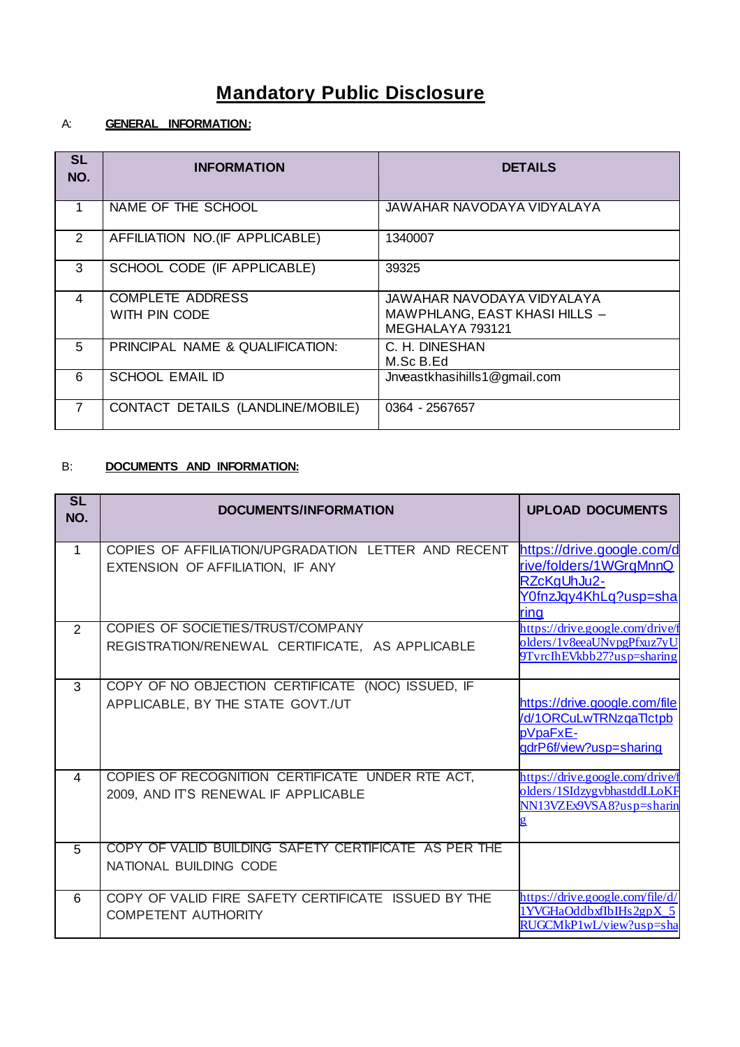# **Mandatory Public Disclosure**

# A: **GENERAL INFORMATION:**

| <b>SL</b><br>NO. | <b>INFORMATION</b>                       | <b>DETAILS</b>                                                                  |
|------------------|------------------------------------------|---------------------------------------------------------------------------------|
|                  | NAME OF THE SCHOOL                       | JAWAHAR NAVODAYA VIDYALAYA                                                      |
| $\overline{2}$   | AFFILIATION NO. (IF APPLICABLE)          | 1340007                                                                         |
| 3                | SCHOOL CODE (IF APPLICABLE)              | 39325                                                                           |
| 4                | <b>COMPLETE ADDRESS</b><br>WITH PIN CODE | JAWAHAR NAVODAYA VIDYALAYA<br>MAWPHLANG, EAST KHASI HILLS -<br>MEGHALAYA 793121 |
| 5                | PRINCIPAL NAME & QUALIFICATION:          | C. H. DINESHAN<br>M.Sc B.Ed                                                     |
| 6                | <b>SCHOOL EMAIL ID</b>                   | Jnveastkhasihills1@gmail.com                                                    |
| 7                | CONTACT DETAILS (LANDLINE/MOBILE)        | 0364 - 2567657                                                                  |

## B: **DOCUMENTS AND INFORMATION:**

| SL<br>NO.      | <b>DOCUMENTS/INFORMATION</b>                                                             | <b>UPLOAD DOCUMENTS</b>                                                                              |
|----------------|------------------------------------------------------------------------------------------|------------------------------------------------------------------------------------------------------|
| $\mathbf{1}$   | COPIES OF AFFILIATION/UPGRADATION LETTER AND RECENT<br>EXTENSION OF AFFILIATION, IF ANY  | https://drive.google.com/d<br>rive/folders/1WGrqMnnQ<br>RZcKgUhJu2-<br>Y0fnzJqy4KhLq?usp=sha<br>ring |
| 2              | COPIES OF SOCIETIES/TRUST/COMPANY<br>REGISTRATION/RENEWAL CERTIFICATE, AS APPLICABLE     | https://drive.google.com/drive/f<br>olders/1v8eeaUNvpgPfxuz7yU<br>9TvrcIhEVkbb27?usp=sharing         |
| 3              | COPY OF NO OBJECTION CERTIFICATE (NOC) ISSUED, IF<br>APPLICABLE, BY THE STATE GOVT./UT   | https://drive.google.com/file<br>/d/1ORCuLwTRNzgaTlctpb<br>pVpaFxE-<br>adrP6f/view?usp=sharing       |
| $\overline{A}$ | COPIES OF RECOGNITION CERTIFICATE UNDER RTE ACT,<br>2009, AND IT'S RENEWAL IF APPLICABLE | https://drive.google.com/drive/f<br>olders/1SIdzygybhastddLLoKF<br>NN13VZEx9VSA8?usp=sharin          |
| 5              | COPY OF VALID BUILDING SAFETY CERTIFICATE AS PER THE<br>NATIONAL BUILDING CODE           |                                                                                                      |
| 6              | COPY OF VALID FIRE SAFETY CERTIFICATE ISSUED BY THE<br><b>COMPETENT AUTHORITY</b>        | https://drive.google.com/file/d/<br>1YVGHaOddbxfIbIHs2gpX 5<br>RUGCMkP1wL/view?usp=sha               |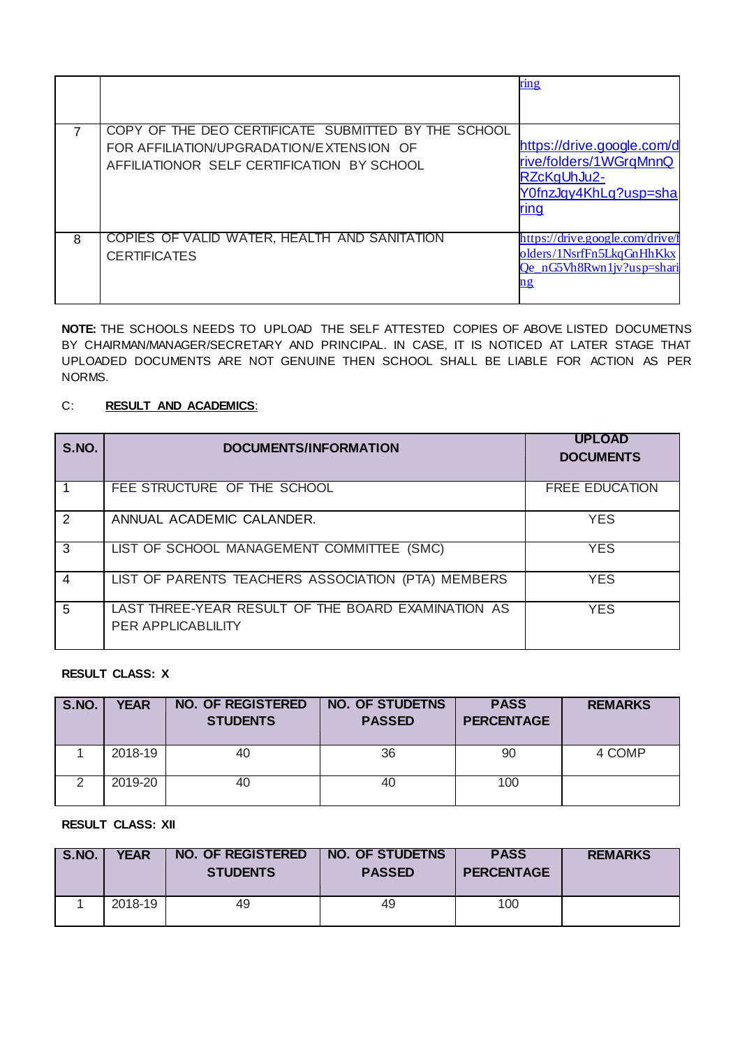|   |                                                                                                                                               | ring                                                                                                 |
|---|-----------------------------------------------------------------------------------------------------------------------------------------------|------------------------------------------------------------------------------------------------------|
|   | COPY OF THE DEO CERTIFICATE SUBMITTED BY THE SCHOOL<br>FOR AFFILIATION/UPGRADATION/EXTENSION OF<br>AFFILIATIONOR SELF CERTIFICATION BY SCHOOL | https://drive.google.com/d<br>rive/folders/1WGraMnnQ<br>RZcKgUhJu2-<br>Y0fnzJqy4KhLq?usp=sha<br>ring |
| 8 | COPIES OF VALID WATER, HEALTH AND SANITATION<br><b>CERTIFICATES</b>                                                                           | https://drive.google.com/drive/f<br>olders/1NsrfFn5LkqGnHhKkx<br>Qe nG5Vh8Rwn1jv?usp=shari           |

**NOTE:** THE SCHOOLS NEEDS TO UPLOAD THE SELF ATTESTED COPIES OF ABOVE LISTED DOCUMETNS BY CHAIRMAN/MANAGER/SECRETARY AND PRINCIPAL. IN CASE, IT IS NOTICED AT LATER STAGE THAT UPLOADED DOCUMENTS ARE NOT GENUINE THEN SCHOOL SHALL BE LIABLE FOR ACTION AS PER NORMS.

#### C: **RESULT AND ACADEMICS**:

| S.NO.         | <b>DOCUMENTS/INFORMATION</b>                                                    | <b>UPLOAD</b><br><b>DOCUMENTS</b> |
|---------------|---------------------------------------------------------------------------------|-----------------------------------|
|               | FEE STRUCTURE OF THE SCHOOL                                                     | <b>FREE EDUCATION</b>             |
| $\mathcal{P}$ | ANNUAL ACADEMIC CALANDER.                                                       | <b>YES</b>                        |
| 3             | LIST OF SCHOOL MANAGEMENT COMMITTEE (SMC)                                       | <b>YES</b>                        |
| 4             | LIST OF PARENTS TEACHERS ASSOCIATION (PTA) MEMBERS                              | <b>YES</b>                        |
| 5             | LAST THREE-YEAR RESULT OF THE BOARD EXAMINATION AS<br><b>PER APPLICABLILITY</b> | <b>YES</b>                        |

#### **RESULT CLASS: X**

| S.NO. | <b>YEAR</b> | <b>NO. OF REGISTERED</b><br><b>STUDENTS</b> | <b>NO. OF STUDETNS</b><br><b>PASSED</b> | <b>PASS</b><br><b>PERCENTAGE</b> | <b>REMARKS</b> |
|-------|-------------|---------------------------------------------|-----------------------------------------|----------------------------------|----------------|
|       | 2018-19     | 40                                          | 36                                      | 90                               | 4 COMP         |
| ⌒     | 2019-20     | 40                                          | 40                                      | 100                              |                |

**RESULT CLASS: XII**

| $\overline{\phantom{a}}$ S.NO. | YEAR    | <b>NO. OF REGISTERED</b><br><b>STUDENTS</b> | <b>NO. OF STUDETNS</b><br><b>PASSED</b> | <b>PASS</b><br><b>PERCENTAGE</b> | <b>REMARKS</b> |
|--------------------------------|---------|---------------------------------------------|-----------------------------------------|----------------------------------|----------------|
|                                | 2018-19 | 49                                          | 49                                      | 100                              |                |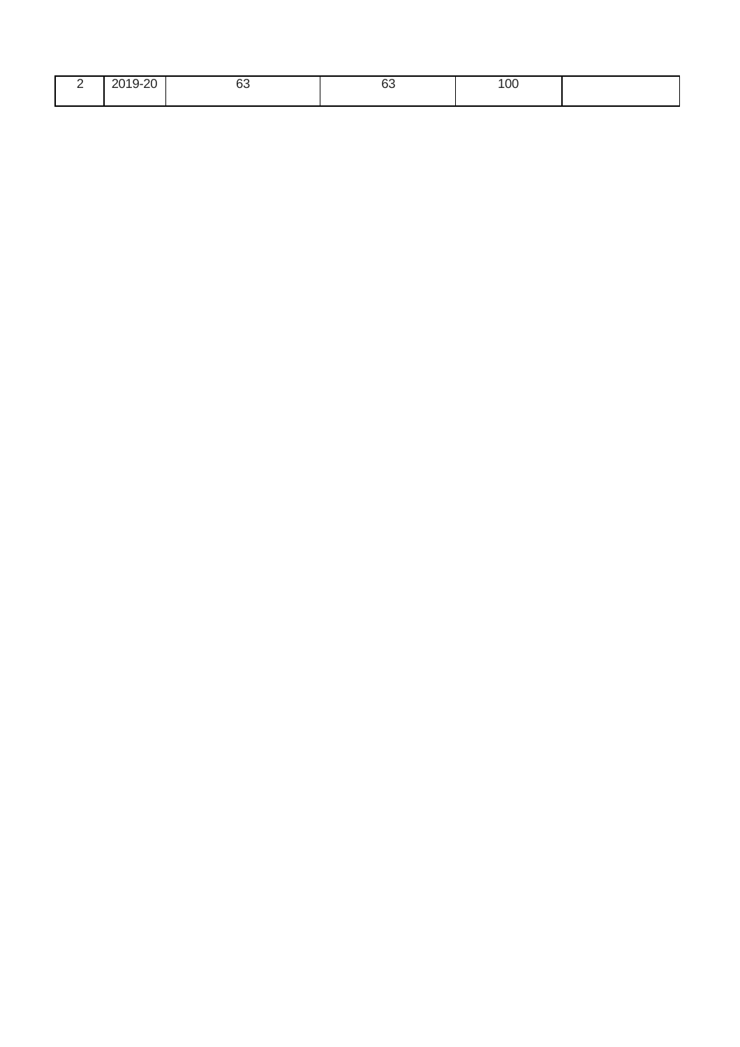| - | $Q - 20$<br>201<br>ำ –<br>∼<br>$\sim$<br>--<br>_____ | $\sim$<br>ပ၁ | r<br>υU | 100 |  |
|---|------------------------------------------------------|--------------|---------|-----|--|
|   |                                                      |              |         |     |  |